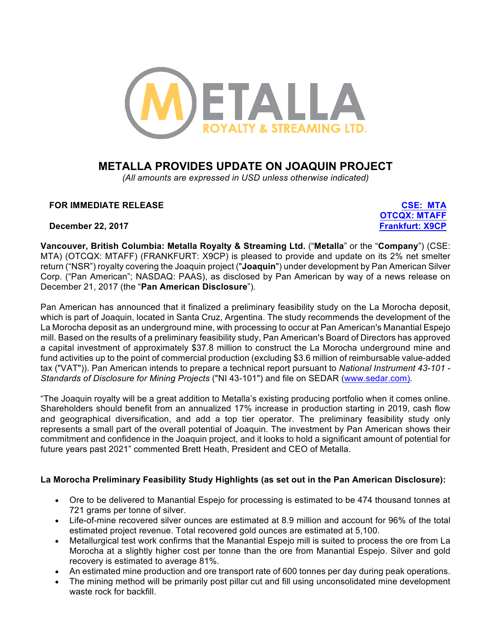

# **METALLA PROVIDES UPDATE ON JOAQUIN PROJECT**

*(All amounts are expressed in USD unless otherwise indicated)*

**FOR IMMEDIATE RELEASE CSE: MTA**

**OTCQX: MTAFF**

**December 22, 2017 Frankfurt: X9CP**

**Vancouver, British Columbia: Metalla Royalty & Streaming Ltd.** ("**Metalla**" or the "**Company**") (CSE: MTA) (OTCQX: MTAFF) (FRANKFURT: X9CP) is pleased to provide and update on its 2% net smelter return ("NSR") royalty covering the Joaquin project ("**Joaquin**") under development by Pan American Silver Corp. ("Pan American"; NASDAQ: PAAS), as disclosed by Pan American by way of a news release on December 21, 2017 (the "**Pan American Disclosure**").

Pan American has announced that it finalized a preliminary feasibility study on the La Morocha deposit, which is part of Joaquin, located in Santa Cruz, Argentina. The study recommends the development of the La Morocha deposit as an underground mine, with processing to occur at Pan American's Manantial Espejo mill. Based on the results of a preliminary feasibility study, Pan American's Board of Directors has approved a capital investment of approximately \$37.8 million to construct the La Morocha underground mine and fund activities up to the point of commercial production (excluding \$3.6 million of reimbursable value-added tax ("VAT")). Pan American intends to prepare a technical report pursuant to *National Instrument 43-101 - Standards of Disclosure for Mining Projects* ("NI 43-101") and file on SEDAR (www.sedar.com).

"The Joaquin royalty will be a great addition to Metalla's existing producing portfolio when it comes online. Shareholders should benefit from an annualized 17% increase in production starting in 2019, cash flow and geographical diversification, and add a top tier operator. The preliminary feasibility study only represents a small part of the overall potential of Joaquin. The investment by Pan American shows their commitment and confidence in the Joaquin project, and it looks to hold a significant amount of potential for future years past 2021" commented Brett Heath, President and CEO of Metalla.

## **La Morocha Preliminary Feasibility Study Highlights (as set out in the Pan American Disclosure):**

- Ore to be delivered to Manantial Espejo for processing is estimated to be 474 thousand tonnes at 721 grams per tonne of silver.
- Life-of-mine recovered silver ounces are estimated at 8.9 million and account for 96% of the total estimated project revenue. Total recovered gold ounces are estimated at 5,100.
- Metallurgical test work confirms that the Manantial Espejo mill is suited to process the ore from La Morocha at a slightly higher cost per tonne than the ore from Manantial Espejo. Silver and gold recovery is estimated to average 81%.
- An estimated mine production and ore transport rate of 600 tonnes per day during peak operations.
- The mining method will be primarily post pillar cut and fill using unconsolidated mine development waste rock for backfill.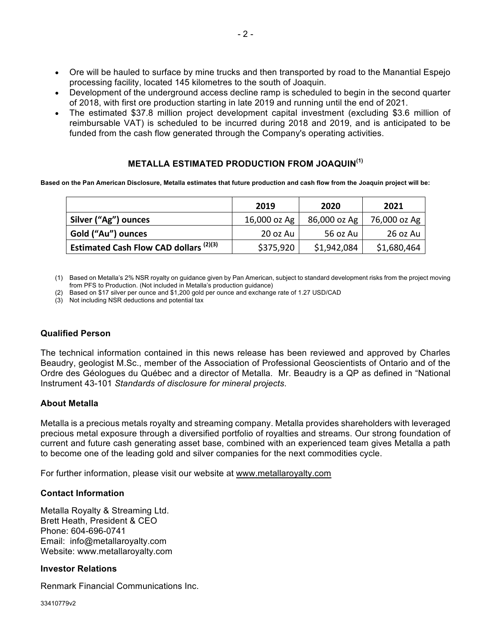- Ore will be hauled to surface by mine trucks and then transported by road to the Manantial Espejo processing facility, located 145 kilometres to the south of Joaquin.
- Development of the underground access decline ramp is scheduled to begin in the second quarter of 2018, with first ore production starting in late 2019 and running until the end of 2021.
- The estimated \$37.8 million project development capital investment (excluding \$3.6 million of reimbursable VAT) is scheduled to be incurred during 2018 and 2019, and is anticipated to be funded from the cash flow generated through the Company's operating activities.

# **METALLA ESTIMATED PRODUCTION FROM JOAQUIN(1)**

**Based on the Pan American Disclosure, Metalla estimates that future production and cash flow from the Joaquin project will be:**

|                                        | 2019         | 2020         | 2021         |
|----------------------------------------|--------------|--------------|--------------|
| Silver ("Ag") ounces                   | 16,000 oz Ag | 86,000 oz Ag | 76,000 oz Ag |
| Gold ("Au") ounces                     | 20 oz Au     | 56 oz Au     | 26 oz Au     |
| Estimated Cash Flow CAD dollars (2)(3) | \$375,920    | \$1,942,084  | \$1,680,464  |

(1) Based on Metalla's 2% NSR royalty on guidance given by Pan American, subject to standard development risks from the project moving from PFS to Production. (Not included in Metalla's production guidance)

(2) Based on \$17 silver per ounce and \$1,200 gold per ounce and exchange rate of 1.27 USD/CAD

(3) Not including NSR deductions and potential tax

## **Qualified Person**

The technical information contained in this news release has been reviewed and approved by Charles Beaudry, geologist M.Sc., member of the Association of Professional Geoscientists of Ontario and of the Ordre des Géologues du Québec and a director of Metalla. Mr. Beaudry is a QP as defined in "National Instrument 43-101 *Standards of disclosure for mineral projects*.

## **About Metalla**

Metalla is a precious metals royalty and streaming company. Metalla provides shareholders with leveraged precious metal exposure through a diversified portfolio of royalties and streams. Our strong foundation of current and future cash generating asset base, combined with an experienced team gives Metalla a path to become one of the leading gold and silver companies for the next commodities cycle.

For further information, please visit our website at www.metallaroyalty.com

## **Contact Information**

Metalla Royalty & Streaming Ltd. Brett Heath, President & CEO Phone: 604-696-0741 Email: info@metallaroyalty.com Website: www.metallaroyalty.com

#### **Investor Relations**

Renmark Financial Communications Inc.

33410779v2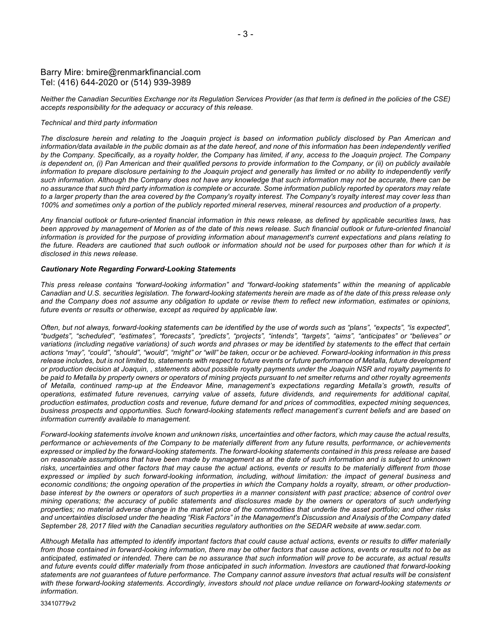### Barry Mire: bmire@renmarkfinancial.com Tel: (416) 644-2020 or (514) 939-3989

*Neither the Canadian Securities Exchange nor its Regulation Services Provider (as that term is defined in the policies of the CSE) accepts responsibility for the adequacy or accuracy of this release.*

- 3 -

#### *Technical and third party information*

*The disclosure herein and relating to the Joaquin project is based on information publicly disclosed by Pan American and information/data available in the public domain as at the date hereof, and none of this information has been independently verified by the Company. Specifically, as a royalty holder, the Company has limited, if any, access to the Joaquin project. The Company is dependent on, (i) Pan American and their qualified persons to provide information to the Company, or (ii) on publicly available information to prepare disclosure pertaining to the Joaquin project and generally has limited or no ability to independently verify such information. Although the Company does not have any knowledge that such information may not be accurate, there can be no assurance that such third party information is complete or accurate. Some information publicly reported by operators may relate to a larger property than the area covered by the Company's royalty interest. The Company's royalty interest may cover less than 100% and sometimes only a portion of the publicly reported mineral reserves, mineral resources and production of a property.*

*Any financial outlook or future-oriented financial information in this news release, as defined by applicable securities laws, has been approved by management of Morien as of the date of this news release. Such financial outlook or future-oriented financial information is provided for the purpose of providing information about management's current expectations and plans relating to the future. Readers are cautioned that such outlook or information should not be used for purposes other than for which it is disclosed in this news release.*

#### *Cautionary Note Regarding Forward-Looking Statements*

*This press release contains "forward-looking information" and "forward-looking statements" within the meaning of applicable Canadian and U.S. securities legislation. The forward-looking statements herein are made as of the date of this press release only and the Company does not assume any obligation to update or revise them to reflect new information, estimates or opinions, future events or results or otherwise, except as required by applicable law.* 

*Often, but not always, forward-looking statements can be identified by the use of words such as "plans", "expects", "is expected", "budgets", "scheduled", "estimates", "forecasts", "predicts", "projects", "intends", "targets", "aims", "anticipates" or "believes" or variations (including negative variations) of such words and phrases or may be identified by statements to the effect that certain actions "may", "could", "should", "would", "might" or "will" be taken, occur or be achieved. Forward-looking information in this press release includes, but is not limited to, statements with respect to future events or future performance of Metalla, future development or production decision at Joaquin, , statements about possible royalty payments under the Joaquin NSR and royalty payments to be paid to Metalla by property owners or operators of mining projects pursuant to net smelter returns and other royalty agreements of Metalla, continued ramp-up at the Endeavor Mine, management's expectations regarding Metalla's growth, results of operations, estimated future revenues, carrying value of assets, future dividends, and requirements for additional capital, production estimates, production costs and revenue, future demand for and prices of commodities, expected mining sequences, business prospects and opportunities. Such forward-looking statements reflect management's current beliefs and are based on information currently available to management.* 

*Forward-looking statements involve known and unknown risks, uncertainties and other factors, which may cause the actual results, performance or achievements of the Company to be materially different from any future results, performance, or achievements expressed or implied by the forward-looking statements. The forward-looking statements contained in this press release are based on reasonable assumptions that have been made by management as at the date of such information and is subject to unknown risks, uncertainties and other factors that may cause the actual actions, events or results to be materially different from those expressed or implied by such forward-looking information, including, without limitation: the impact of general business and economic conditions; the ongoing operation of the properties in which the Company holds a royalty, stream, or other productionbase interest by the owners or operators of such properties in a manner consistent with past practice; absence of control over mining operations; the accuracy of public statements and disclosures made by the owners or operators of such underlying properties; no material adverse change in the market price of the commodities that underlie the asset portfolio; and other risks and uncertainties disclosed under the heading "Risk Factors" in the Management's Discussion and Analysis of the Company dated September 28, 2017 filed with the Canadian securities regulatory authorities on the SEDAR website at www.sedar.com.*

*Although Metalla has attempted to identify important factors that could cause actual actions, events or results to differ materially from those contained in forward-looking information, there may be other factors that cause actions, events or results not to be as anticipated, estimated or intended. There can be no assurance that such information will prove to be accurate, as actual results and future events could differ materially from those anticipated in such information. Investors are cautioned that forward-looking statements are not guarantees of future performance. The Company cannot assure investors that actual results will be consistent with these forward-looking statements. Accordingly, investors should not place undue reliance on forward-looking statements or information.*